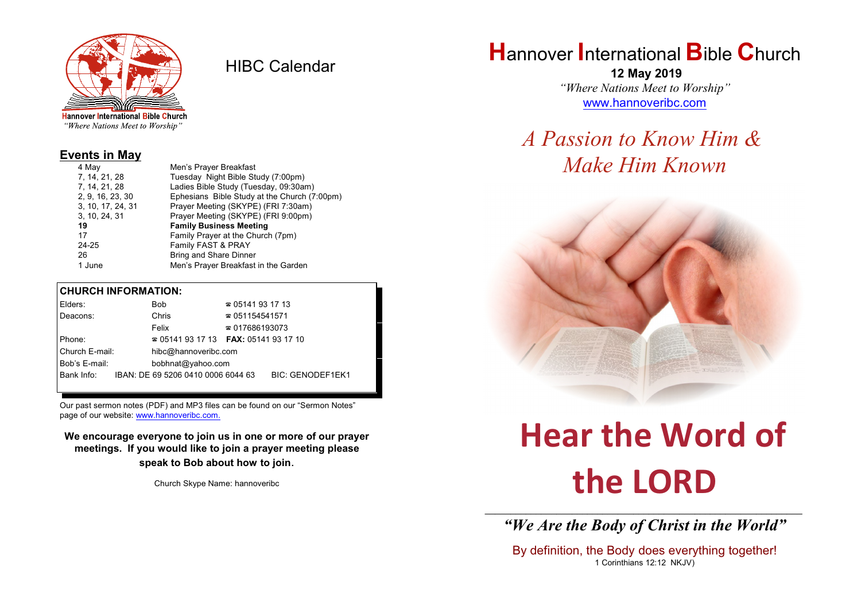

HIBC Calendar

"Where Nations Meet to Worship"

#### **Events in May**

| Men's Prayer Breakfast                       |  |  |
|----------------------------------------------|--|--|
| Tuesday Night Bible Study (7:00pm)           |  |  |
| Ladies Bible Study (Tuesday, 09:30am)        |  |  |
| Ephesians Bible Study at the Church (7:00pm) |  |  |
| Prayer Meeting (SKYPE) (FRI 7:30am)          |  |  |
| Prayer Meeting (SKYPE) (FRI 9:00pm)          |  |  |
| <b>Family Business Meeting</b>               |  |  |
| Family Prayer at the Church (7pm)            |  |  |
| Family FAST & PRAY                           |  |  |
| <b>Bring and Share Dinner</b>                |  |  |
| Men's Prayer Breakfast in the Garden         |  |  |
|                                              |  |  |

#### **CHURCH INFORMATION:**

| Elders:                            |  | <b>Bob</b>                                    | $\approx 05141931713$  |                         |
|------------------------------------|--|-----------------------------------------------|------------------------|-------------------------|
| Deacons:                           |  | Chris                                         | $\approx 051154541571$ |                         |
|                                    |  | Felix                                         | $\approx 017686193073$ |                         |
| Phone:                             |  | $\approx 05141931713$ FAX: 0514193 17 10      |                        |                         |
| Church E-mail:                     |  | hibc@hannoveribc.com                          |                        |                         |
| Bob's E-mail:<br>bobhnat@yahoo.com |  |                                               |                        |                         |
|                                    |  | Bank Info: IBAN: DE 69 5206 0410 0006 6044 63 |                        | <b>BIC: GENODEF1EK1</b> |
|                                    |  |                                               |                        |                         |

Our past sermon notes (PDF) and MP3 files can be found on our "Sermon Notes" page of our website: [www.hannoveribc.com.](http://www.hannoveribc.com.)

**We encourage everyone to join us in one or more of our prayer meetings. If you would like to join a prayer meeting please speak to Bob about how to join**.

Church Skype Name: hannoveribc

## **H**annover **I**nternational **B**ible **C**hurch

 **12 May 2019** *"Where Nations Meet to Worship"* [www.hannoveribc.com](http://www.hannoveribc.com)

## *A Passion to Know Him & Make Him Known*



# **Hear the Word of the LORD**

\_\_\_\_\_\_\_\_\_\_\_\_\_\_\_\_\_\_\_\_\_\_\_\_\_\_\_\_\_\_\_\_\_\_\_\_\_\_\_\_\_\_\_\_\_\_\_\_\_\_\_\_\_\_\_\_\_\_\_\_\_\_ *"We Are the Body of Christ in the World"*

By definition, the Body does everything together! 1 Corinthians 12:12 NKJV)